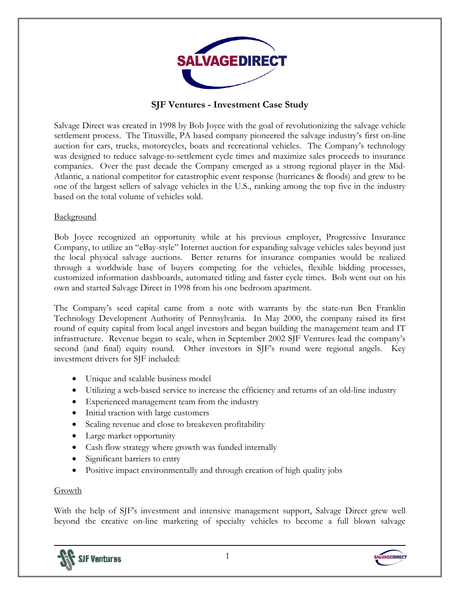

# **SJF Ventures - Investment Case Study**

Salvage Direct was created in 1998 by Bob Joyce with the goal of revolutionizing the salvage vehicle settlement process. The Titusville, PA based company pioneered the salvage industry's first on-line auction for cars, trucks, motorcycles, boats and recreational vehicles. The Company's technology was designed to reduce salvage-to-settlement cycle times and maximize sales proceeds to insurance companies. Over the past decade the Company emerged as a strong regional player in the Mid-Atlantic, a national competitor for catastrophic event response (hurricanes & floods) and grew to be one of the largest sellers of salvage vehicles in the U.S., ranking among the top five in the industry based on the total volume of vehicles sold.

#### Background

Bob Joyce recognized an opportunity while at his previous employer, Progressive Insurance Company, to utilize an "eBay-style" Internet auction for expanding salvage vehicles sales beyond just the local physical salvage auctions. Better returns for insurance companies would be realized through a worldwide base of buyers competing for the vehicles, flexible bidding processes, customized information dashboards, automated titling and faster cycle times. Bob went out on his own and started Salvage Direct in 1998 from his one bedroom apartment.

The Company's seed capital came from a note with warrants by the state-run Ben Franklin Technology Development Authority of Pennsylvania. In May 2000, the company raised its first round of equity capital from local angel investors and began building the management team and IT infrastructure. Revenue began to scale, when in September 2002 SJF Ventures lead the company's second (and final) equity round. Other investors in SJF's round were regional angels. Key investment drivers for SJF included:

- Unique and scalable business model
- Utilizing a web-based service to increase the efficiency and returns of an old-line industry
- Experienced management team from the industry
- Initial traction with large customers
- Scaling revenue and close to breakeven profitability
- Large market opportunity
- Cash flow strategy where growth was funded internally
- Significant barriers to entry
- Positive impact environmentally and through creation of high quality jobs

#### Growth

With the help of SJF's investment and intensive management support, Salvage Direct grew well beyond the creative on-line marketing of specialty vehicles to become a full blown salvage



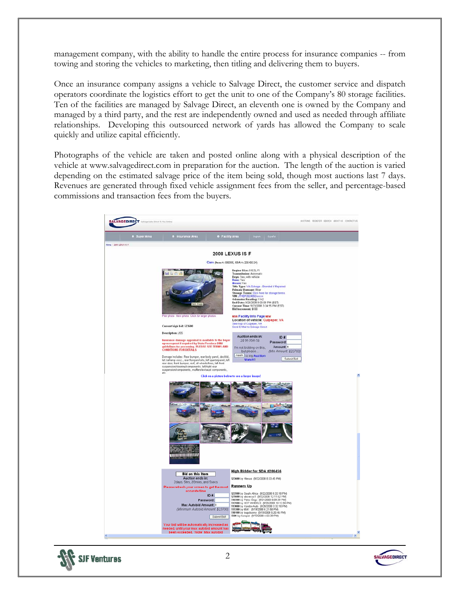management company, with the ability to handle the entire process for insurance companies -- from towing and storing the vehicles to marketing, then titling and delivering them to buyers.

Once an insurance company assigns a vehicle to Salvage Direct, the customer service and dispatch operators coordinate the logistics effort to get the unit to one of the Company's 80 storage facilities. Ten of the facilities are managed by Salvage Direct, an eleventh one is owned by the Company and managed by a third party, and the rest are independently owned and used as needed through affiliate relationships. Developing this outsourced network of yards has allowed the Company to scale quickly and utilize capital efficiently.

Photographs of the vehicle are taken and posted online along with a physical description of the vehicle at www.salvagedirect.com in preparation for the auction. The length of the auction is varied depending on the estimated salvage price of the item being sold, though most auctions last 7 days. Revenues are generated through fixed vehicle assignment fees from the seller, and percentage-based commissions and transaction fees from the buyers.





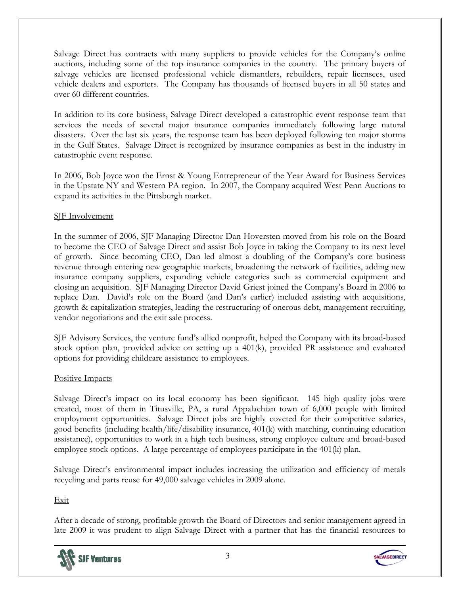Salvage Direct has contracts with many suppliers to provide vehicles for the Company's online auctions, including some of the top insurance companies in the country. The primary buyers of salvage vehicles are licensed professional vehicle dismantlers, rebuilders, repair licensees, used vehicle dealers and exporters. The Company has thousands of licensed buyers in all 50 states and over 60 different countries.

In addition to its core business, Salvage Direct developed a catastrophic event response team that services the needs of several major insurance companies immediately following large natural disasters. Over the last six years, the response team has been deployed following ten major storms in the Gulf States. Salvage Direct is recognized by insurance companies as best in the industry in catastrophic event response.

In 2006, Bob Joyce won the Ernst & Young Entrepreneur of the Year Award for Business Services in the Upstate NY and Western PA region. In 2007, the Company acquired West Penn Auctions to expand its activities in the Pittsburgh market.

# SJF Involvement

In the summer of 2006, SJF Managing Director Dan Hoversten moved from his role on the Board to become the CEO of Salvage Direct and assist Bob Joyce in taking the Company to its next level of growth. Since becoming CEO, Dan led almost a doubling of the Company's core business revenue through entering new geographic markets, broadening the network of facilities, adding new insurance company suppliers, expanding vehicle categories such as commercial equipment and closing an acquisition. SJF Managing Director David Griest joined the Company's Board in 2006 to replace Dan. David's role on the Board (and Dan's earlier) included assisting with acquisitions, growth & capitalization strategies, leading the restructuring of onerous debt, management recruiting, vendor negotiations and the exit sale process.

SJF Advisory Services, the venture fund's allied nonprofit, helped the Company with its broad-based stock option plan, provided advice on setting up a 401(k), provided PR assistance and evaluated options for providing childcare assistance to employees.

#### Positive Impacts

Salvage Direct's impact on its local economy has been significant. 145 high quality jobs were created, most of them in Titusville, PA, a rural Appalachian town of 6,000 people with limited employment opportunities. Salvage Direct jobs are highly coveted for their competitive salaries, good benefits (including health/life/disability insurance, 401(k) with matching, continuing education assistance), opportunities to work in a high tech business, strong employee culture and broad-based employee stock options. A large percentage of employees participate in the 401(k) plan.

Salvage Direct's environmental impact includes increasing the utilization and efficiency of metals recycling and parts reuse for 49,000 salvage vehicles in 2009 alone.

Exit

After a decade of strong, profitable growth the Board of Directors and senior management agreed in late 2009 it was prudent to align Salvage Direct with a partner that has the financial resources to